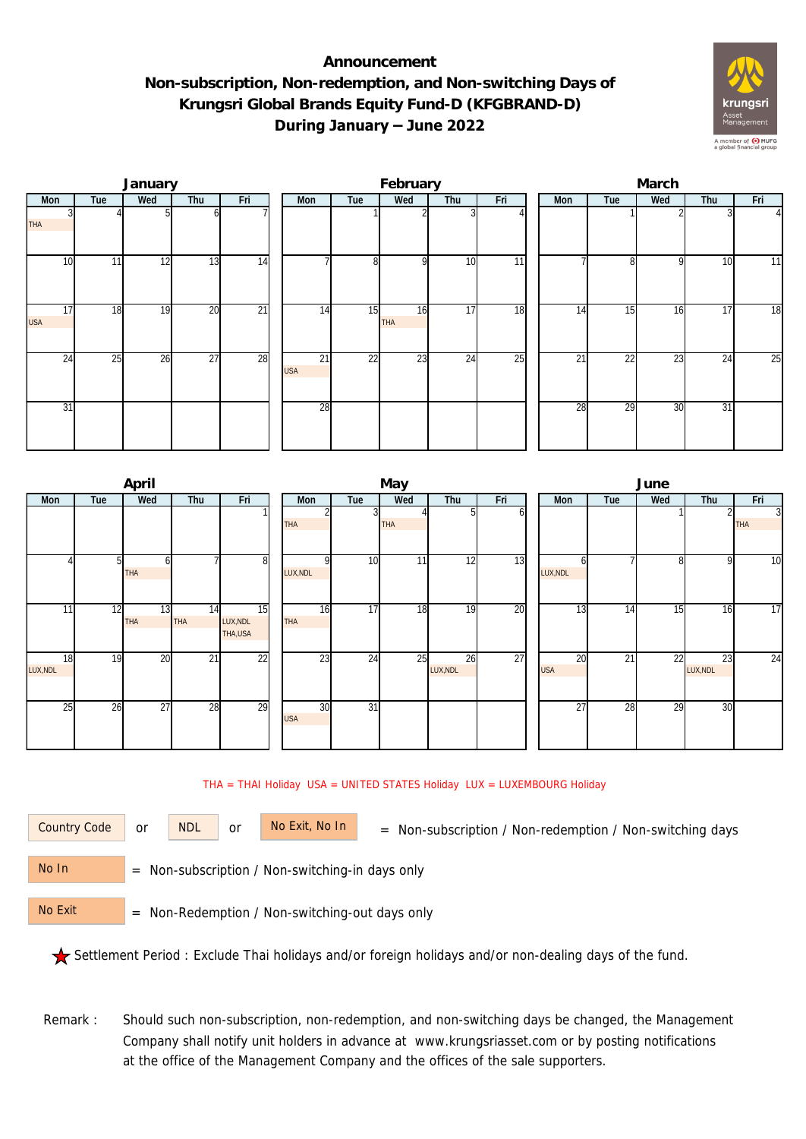## **Announcement Non-subscription, Non-redemption, and Non-switching Days of Krungsri Global Brands Equity Fund-D (KFGBRAND-D) During January – June 2022**



|                  |     | January |                 |                 |  |                  | February |           |     | March |     |     |     |     |                |  |
|------------------|-----|---------|-----------------|-----------------|--|------------------|----------|-----------|-----|-------|-----|-----|-----|-----|----------------|--|
| Mon              | Tue | Wed     | Thu             | Fri             |  | Mon              | Tue      | Wed       | Thu | Fri   | Mon | Tue | Wed | Thu | Fri            |  |
| <b>THA</b>       |     |         | ωI              |                 |  |                  |          |           |     |       |     |     |     |     | $\overline{4}$ |  |
| 10               | 11  | 12      | 13              | 14              |  |                  | 8        | οI        | 10  | 11    |     | 81  | 9   | 10  | 11             |  |
| 17<br><b>USA</b> | 18  | 19      | 20              | $\overline{21}$ |  | 14               | 15       | 16<br>THA | 17  | 18    | 14  | 15  | 16  | 17  | 18             |  |
| 24               | 25  | 26      | $\overline{27}$ | 28              |  | 21<br><b>USA</b> | 22       | 23        | 24  | 25    | 21  | 22  | 23  | 24  | 25             |  |
| 31               |     |         |                 |                 |  | 28               |          |           |     |       | 28  | 29  | 30  | 31  |                |  |

|                |     | April     |                 |                            |                  |                 | May        |                |     | June |                  |     |     |                |                              |  |
|----------------|-----|-----------|-----------------|----------------------------|------------------|-----------------|------------|----------------|-----|------|------------------|-----|-----|----------------|------------------------------|--|
| Mon            | Tue | Wed       | Thu             | Fri                        | Mon              | Tue             | Wed        | Thu            | Fri |      | Mon              | Tue | Wed | Thu            | Fri                          |  |
|                |     |           |                 |                            | <b>THA</b>       | $\overline{3}$  | <b>THA</b> | 51             | оl  |      |                  |     |     |                | $\overline{3}$<br><b>THA</b> |  |
|                | 51  | h<br>THA  |                 | 81                         | LUX, NDL         | 10              | 11         | 12             | 13  |      | h<br>LUX, NDL    |     | 8   | $\mathsf{Q}$   | $\overline{10}$              |  |
| 11             | 12  | 13<br>THA | 14<br>THA       | 15<br>LUX, NDL<br>THA, USA | 16<br><b>THA</b> | $\overline{17}$ | 18         | 19             | 20  |      | 13               | 14  | 15  | 16             | $\overline{17}$              |  |
| 18<br>LUX, NDL | 19  | 20        | $\overline{21}$ | 22                         | 23               | 24              | 25         | 26<br>LUX, NDL | 27  |      | 20<br><b>USA</b> | 21  | 22  | 23<br>LUX, NDL | $\overline{24}$              |  |
| 25             | 26  | 27        | 28              | 29                         | 30<br><b>USA</b> | $\overline{31}$ |            |                |     |      | 27               | 28  | 29  | 30             |                              |  |

## THA = THAI Holiday USA = UNITED STATES Holiday LUX = LUXEMBOURG Holiday

or NDL or

Country Code or NDL or No Exit, No In = Non-subscription / Non-redemption / Non-switching days

 = Non-subscription / Non-switching-in days only No In

 = Non-Redemption / Non-switching-out days only No Exit

Settlement Period : Exclude Thai holidays and/or foreign holidays and/or non-dealing days of the fund.

Remark : Should such non-subscription, non-redemption, and non-switching days be changed, the Management Company shall notify unit holders in advance at www.krungsriasset.com or by posting notifications at the office of the Management Company and the offices of the sale supporters.